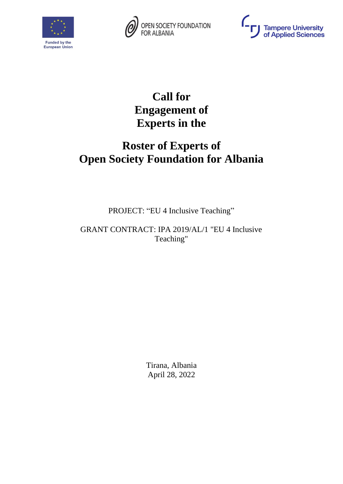





# **Call for Engagement of Experts in the**

# **Roster of Experts of Open Society Foundation for Albania**

PROJECT: "EU 4 Inclusive Teaching"

GRANT CONTRACT: IPA 2019/AL/1 "EU 4 Inclusive Teaching"

> Tirana, Albania April 28, 2022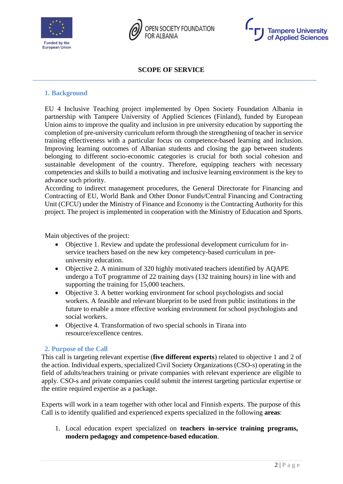





**SCOPE OF SERVICE**

### **1. Background**

EU 4 Inclusive Teaching project implemented by Open Society Foundation Albania in partnership with Tampere University of Applied Sciences (Finland), funded by European Union aims to improve the quality and inclusion in pre university education by supporting the completion of pre-university curriculum reform through the strengthening of teacher in service training effectiveness with a particular focus on competence-based learning and inclusion. Improving learning outcomes of Albanian students and closing the gap between students belonging to different socio-economic categories is crucial for both social cohesion and sustainable development of the country. Therefore, equipping teachers with necessary competencies and skills to build a motivating and inclusive learning environment is the key to advance such priority.

According to indirect management procedures, the General Directorate for Financing and Contracting of EU, World Bank and Other Donor Funds/Central Financing and Contracting Unit (CFCU) under the Ministry of Finance and Economy is the Contracting Authority for this project. The project is implemented in cooperation with the Ministry of Education and Sports.

Main objectives of the project:

- Objective 1. Review and update the professional development curriculum for inservice teachers based on the new key competency-based curriculum in preuniversity education.
- Objective 2. A minimum of 320 highly motivated teachers identified by AQAPE undergo a ToT programme of 22 training days (132 training hours) in line with and supporting the training for 15,000 teachers.
- Objective 3. A better working environment for school psychologists and social workers. A feasible and relevant blueprint to be used from public institutions in the future to enable a more effective working environment for school psychologists and social workers.
- Objective 4. Transformation of two special schools in Tirana into resource/excellence centres.

### **2. Purpose of the Call**

This call is targeting relevant expertise (**five different experts**) related to objective 1 and 2 of the action. Individual experts, specialized Civil Society Organizations (CSO-s) operating in the field of adults/teachers training or private companies with relevant experience are eligible to apply. CSO-s and private companies could submit the interest targeting particular expertise or the entire required expertise as a package.

Experts will work in a team together with other local and Finnish experts. The purpose of this Call is to identify qualified and experienced experts specialized in the following **areas**:

1. Local education expert specialized on **teachers in-service training programs, modern pedagogy and competence-based education**.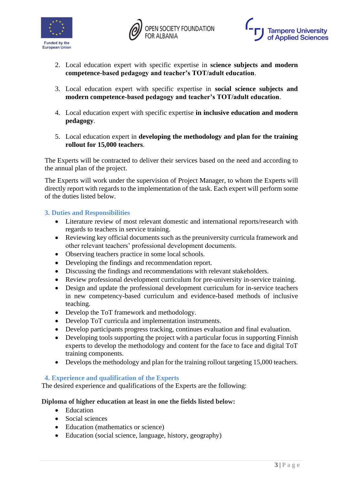





- 2. Local education expert with specific expertise in **science subjects and modern competence-based pedagogy and teacher's TOT/adult education**.
- 3. Local education expert with specific expertise in **social science subjects and modern competence-based pedagogy and teacher's TOT/adult education**.
- 4. Local education expert with specific expertise **in inclusive education and modern pedagogy**.
- 5. Local education expert in **developing the methodology and plan for the training rollout for 15,000 teachers**.

The Experts will be contracted to deliver their services based on the need and according to the annual plan of the project.

The Experts will work under the supervision of Project Manager, to whom the Experts will directly report with regards to the implementation of the task. Each expert will perform some of the duties listed below.

## **3. Duties and Responsibilities**

- Literature review of most relevant domestic and international reports/research with regards to teachers in service training.
- Reviewing key official documents such as the preuniversity curricula framework and other relevant teachers' professional development documents.
- Observing teachers practice in some local schools.
- Developing the findings and recommendation report.
- Discussing the findings and recommendations with relevant stakeholders.
- Review professional development curriculum for pre-university in-service training.
- Design and update the professional development curriculum for in-service teachers in new competency-based curriculum and evidence-based methods of inclusive teaching.
- Develop the ToT framework and methodology.
- Develop ToT curricula and implementation instruments.
- Develop participants progress tracking, continues evaluation and final evaluation.
- Developing tools supporting the project with a particular focus in supporting Finnish experts to develop the methodology and content for the face to face and digital ToT training components.
- Develops the methodology and plan for the training rollout targeting 15,000 teachers.

### **4. Experience and qualification of the Experts**

The desired experience and qualifications of the Experts are the following:

### **Diploma of higher education at least in one the fields listed below:**

- Education
- Social sciences
- Education (mathematics or science)
- Education (social science, language, history, geography)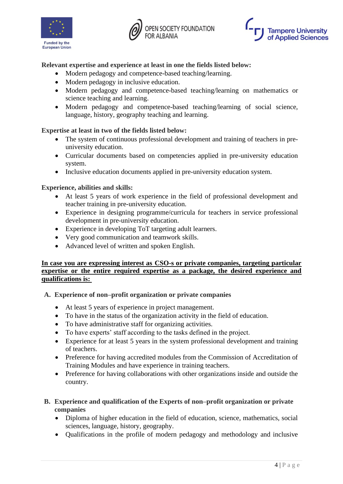





# **Relevant expertise and experience at least in one the fields listed below:**

- Modern pedagogy and competence-based teaching/learning.
- Modern pedagogy in inclusive education.
- Modern pedagogy and competence-based teaching/learning on mathematics or science teaching and learning.
- Modern pedagogy and competence-based teaching/learning of social science, language, history, geography teaching and learning.

# **Expertise at least in two of the fields listed below:**

- The system of continuous professional development and training of teachers in preuniversity education.
- Curricular documents based on competencies applied in pre-university education system.
- Inclusive education documents applied in pre-university education system.

## **Experience, abilities and skills:**

- At least 5 years of work experience in the field of professional development and teacher training in pre-university education.
- Experience in designing programme/curricula for teachers in service professional development in pre-university education.
- Experience in developing ToT targeting adult learners.
- Very good communication and teamwork skills.
- Advanced level of written and spoken English.

## **In case you are expressing interest as CSO-s or private companies, targeting particular expertise or the entire required expertise as a package, the desired experience and qualifications is:**

### **A. Experience of non–profit organization or private companies**

- At least 5 years of experience in project management.
- To have in the status of the organization activity in the field of education.
- To have administrative staff for organizing activities.
- To have experts' staff according to the tasks defined in the project.
- Experience for at least 5 years in the system professional development and training of teachers.
- Preference for having accredited modules from the Commission of Accreditation of Training Modules and have experience in training teachers.
- Preference for having collaborations with other organizations inside and outside the country.

# **B. Experience and qualification of the Experts of non–profit organization or private companies**

- Diploma of higher education in the field of education, science, mathematics, social sciences, language, history, geography.
- Qualifications in the profile of modern pedagogy and methodology and inclusive